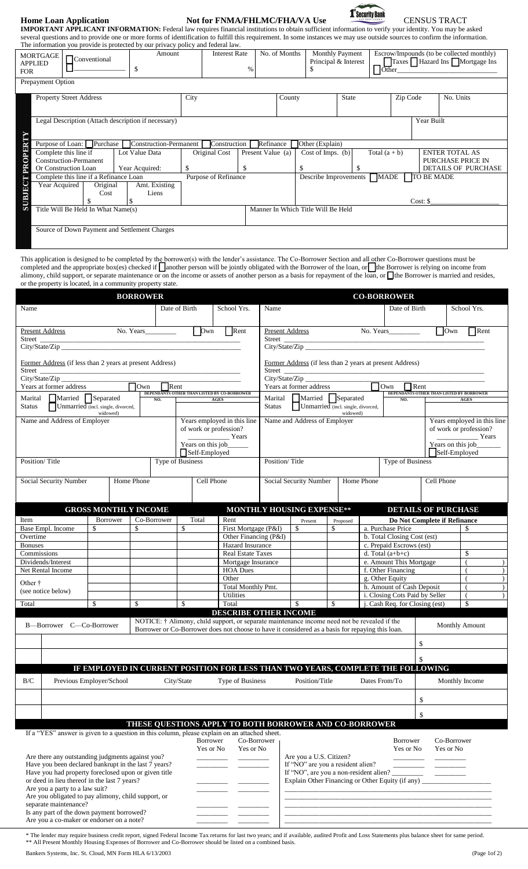## **Home Loan Application Not for FNMA/FHLMC/FHA/VA Use 1 SECURITY BANK** CENSUS TRACT



**IMPORTANT APPLICANT INFORMATION:** Federal law requires financial institutions to obtain sufficient information to verify your identity. You may be asked several questions and to provide one or more forms of identification to fulfill this requirement. In some instances we may use outside sources to confirm the information. The information you provide is protected by our privacy policy and federal law.

| <b>MORTGAGE</b><br>Conventional<br><b>APPLIED</b><br>ъ<br><b>FOR</b>         | <b>Interest Rate</b><br>Amount<br>$\%$                                                              | No. of Months<br><b>Monthly Payment</b>  | Principal & Interest<br>Other | Escrow/Impounds (to be collected monthly)<br>Taxes Hazard Ins Mortgage Ins |  |  |  |  |  |
|------------------------------------------------------------------------------|-----------------------------------------------------------------------------------------------------|------------------------------------------|-------------------------------|----------------------------------------------------------------------------|--|--|--|--|--|
| Prepayment Option                                                            |                                                                                                     |                                          |                               |                                                                            |  |  |  |  |  |
| <b>Property Street Address</b>                                               | City                                                                                                | County                                   | <b>State</b>                  | Zip Code<br>No. Units                                                      |  |  |  |  |  |
| Legal Description (Attach description if necessary)                          |                                                                                                     |                                          |                               | Year Built                                                                 |  |  |  |  |  |
|                                                                              | Purpose of Loan: Purchase<br>Construction-Permanent<br>Construction<br>Refinance<br>Other (Explain) |                                          |                               |                                                                            |  |  |  |  |  |
| <b>OPER</b><br>Complete this line if<br>Lot Value Data                       | Original Cost                                                                                       | Present Value (a)<br>Cost of Imps. $(b)$ | Total $(a + b)$               | <b>ENTER TOTAL AS</b>                                                      |  |  |  |  |  |
| <b>Construction-Permanent</b>                                                |                                                                                                     |                                          |                               | PURCHASE PRICE IN                                                          |  |  |  |  |  |
| PR<br>Or Construction Loan<br>Year Acquired:                                 |                                                                                                     |                                          |                               | <b>DETAILS OF PURCHASE</b>                                                 |  |  |  |  |  |
| Complete this line if a Refinance Loan                                       | Purpose of Refinance                                                                                | Describe Improvements                    | <b>MADE</b>                   | <b>TO BE MADE</b>                                                          |  |  |  |  |  |
| <b>SUBJEC</b><br>Original<br>Amt. Existing<br>Year Acquired<br>Liens<br>Cost |                                                                                                     |                                          |                               | Cost: \$                                                                   |  |  |  |  |  |
| Title Will Be Held In What Name(s)                                           |                                                                                                     | Manner In Which Title Will Be Held       |                               |                                                                            |  |  |  |  |  |
| Source of Down Payment and Settlement Charges                                |                                                                                                     |                                          |                               |                                                                            |  |  |  |  |  |

This application is designed to be completed by the borrower(s) with the lender's assistance. The Co-Borrower Section and all other Co-Borrower questions must be completed and the appropriate box(es) checked if  $\int$  another person will be jointly obligated with the Borrower of the loan, or  $\int$  the Borrower is relying on income from alimony, child support, or separate maintenance or on the income or assets of another person as a basis for repayment of the loan, or the Borrower is married and resides, or the property is located, in a community property state.

|                                                                                                          |                                                                                 | <b>BORROWER</b> |                  |                                                |                                                                                             |                                                                                                                              |                                                              |                                    |              |                                                         | <b>CO-BORROWER</b>                                       |                              |                             |                             |  |
|----------------------------------------------------------------------------------------------------------|---------------------------------------------------------------------------------|-----------------|------------------|------------------------------------------------|---------------------------------------------------------------------------------------------|------------------------------------------------------------------------------------------------------------------------------|--------------------------------------------------------------|------------------------------------|--------------|---------------------------------------------------------|----------------------------------------------------------|------------------------------|-----------------------------|-----------------------------|--|
| Name                                                                                                     |                                                                                 |                 | Date of Birth    |                                                |                                                                                             | School Yrs.                                                                                                                  | Name                                                         |                                    |              |                                                         | Date of Birth                                            |                              | School Yrs.                 |                             |  |
| <b>Present Address</b>                                                                                   | No. Years                                                                       |                 |                  | $\sqrt{\text{Own}}$                            |                                                                                             | Rent                                                                                                                         | <b>Present Address</b>                                       |                                    |              |                                                         | No. Years                                                |                              | $\Box$ Own                  | $\sqrt{\text{Rent}}$        |  |
| Street                                                                                                   |                                                                                 |                 |                  |                                                |                                                                                             | Street                                                                                                                       |                                                              |                                    |              |                                                         |                                                          |                              |                             |                             |  |
|                                                                                                          |                                                                                 |                 |                  |                                                |                                                                                             |                                                                                                                              |                                                              |                                    |              |                                                         |                                                          |                              |                             |                             |  |
| Former Address (if less than 2 years at present Address)                                                 |                                                                                 |                 |                  |                                                |                                                                                             |                                                                                                                              |                                                              |                                    |              |                                                         | Former Address (if less than 2 years at present Address) |                              |                             |                             |  |
| Street                                                                                                   |                                                                                 |                 |                  |                                                |                                                                                             |                                                                                                                              | Street                                                       |                                    |              |                                                         |                                                          |                              |                             |                             |  |
| City/State/Zip<br>Years at former address<br>$\mathsf{Rent}$                                             |                                                                                 |                 |                  |                                                |                                                                                             |                                                                                                                              |                                                              |                                    |              |                                                         | $\Box$ Rent                                              |                              |                             |                             |  |
| DEPENDANTS OTHER THAN LISTED BY CO-BORROWER<br>Marital Married Separated<br>NO.<br>AGES                  |                                                                                 |                 |                  |                                                | DEPENDANTS OTHER THAN LISTED BY BORROWER<br>Marital Married Separated<br>NO.<br><b>AGES</b> |                                                                                                                              |                                                              |                                    |              |                                                         |                                                          |                              |                             |                             |  |
| <b>Status</b>                                                                                            | Unmarried (incl. single, divorced,<br>widowed)                                  |                 |                  |                                                |                                                                                             |                                                                                                                              | Status                                                       | Unmarried (incl. single, divorced, |              |                                                         |                                                          |                              |                             |                             |  |
| Name and Address of Employer                                                                             |                                                                                 |                 |                  | Years employed in this line                    |                                                                                             |                                                                                                                              | widowed)<br>Name and Address of Employer                     |                                    |              |                                                         |                                                          |                              | Years employed in this line |                             |  |
|                                                                                                          |                                                                                 |                 |                  | of work or profession?                         |                                                                                             |                                                                                                                              |                                                              |                                    |              |                                                         |                                                          | of work or profession?       |                             |                             |  |
|                                                                                                          |                                                                                 |                 |                  | $\frac{1}{2}$ Years<br>Years on this job______ |                                                                                             |                                                                                                                              |                                                              |                                    |              |                                                         |                                                          |                              |                             | Years<br>Years on this job_ |  |
|                                                                                                          |                                                                                 |                 |                  | Self-Employed                                  |                                                                                             |                                                                                                                              |                                                              |                                    |              |                                                         |                                                          |                              |                             | Self-Employed               |  |
| Position/Title                                                                                           |                                                                                 |                 | Type of Business |                                                |                                                                                             |                                                                                                                              | Position/Title<br>Type of Business                           |                                    |              |                                                         |                                                          |                              |                             |                             |  |
|                                                                                                          |                                                                                 |                 |                  |                                                |                                                                                             |                                                                                                                              |                                                              |                                    |              |                                                         |                                                          |                              |                             |                             |  |
| Social Security Number                                                                                   |                                                                                 | Home Phone      |                  | Cell Phone                                     |                                                                                             |                                                                                                                              |                                                              | Social Security Number             |              | Home Phone                                              | Cell Phone                                               |                              |                             |                             |  |
|                                                                                                          |                                                                                 |                 |                  |                                                |                                                                                             |                                                                                                                              |                                                              |                                    |              |                                                         |                                                          |                              |                             |                             |  |
|                                                                                                          | <b>GROSS MONTHLY INCOME</b>                                                     |                 |                  |                                                |                                                                                             | <b>MONTHLY HOUSING EXPENSE**</b>                                                                                             |                                                              |                                    |              |                                                         | <b>DETAILS OF PURCHASE</b>                               |                              |                             |                             |  |
| Item                                                                                                     | Borrower                                                                        | Co-Borrower     |                  | Total                                          | Rent                                                                                        |                                                                                                                              |                                                              | Present                            | Proposed     |                                                         |                                                          | Do Not Complete if Refinance |                             |                             |  |
| Base Empl. Income                                                                                        | \$                                                                              | \$              | \$               |                                                |                                                                                             | First Mortgage (P&I)                                                                                                         |                                                              | \$                                 | \$           |                                                         | a. Purchase Price                                        |                              |                             | \$                          |  |
| Overtime<br><b>Bonuses</b>                                                                               |                                                                                 |                 |                  |                                                |                                                                                             | Other Financing (P&I)<br>Hazard Insurance                                                                                    |                                                              |                                    |              | b. Total Closing Cost (est)<br>c. Prepaid Escrows (est) |                                                          |                              |                             |                             |  |
| Commissions                                                                                              |                                                                                 |                 |                  |                                                |                                                                                             | <b>Real Estate Taxes</b>                                                                                                     |                                                              |                                    |              | d. Total $(a+b+c)$                                      |                                                          |                              |                             | \$                          |  |
| Dividends/Interest                                                                                       |                                                                                 |                 |                  |                                                |                                                                                             | Mortgage Insurance                                                                                                           |                                                              |                                    |              | e. Amount This Mortgage                                 |                                                          |                              |                             |                             |  |
| Net Rental Income                                                                                        |                                                                                 |                 |                  |                                                | Other                                                                                       | <b>HOA Dues</b>                                                                                                              |                                                              |                                    |              | f. Other Financing<br>g. Other Equity                   |                                                          |                              |                             |                             |  |
| Other †                                                                                                  |                                                                                 |                 |                  |                                                |                                                                                             | Total Monthly Pmt.                                                                                                           |                                                              |                                    |              |                                                         | h. Amount of Cash Deposit                                |                              |                             | $\left($                    |  |
| (see notice below)                                                                                       |                                                                                 |                 |                  |                                                |                                                                                             | Utilities                                                                                                                    |                                                              |                                    |              | i. Closing Cots Paid by Seller                          |                                                          |                              |                             |                             |  |
| Total                                                                                                    | \$                                                                              | \$              | \$               |                                                | Total                                                                                       |                                                                                                                              |                                                              | $\mathcal{S}$                      | $\mathbb{S}$ |                                                         | j. Cash Req. for Closing (est)                           |                              |                             | $\mathbb S$                 |  |
|                                                                                                          |                                                                                 |                 |                  |                                                |                                                                                             | <b>DESCRIBE OTHER INCOME</b><br>NOTICE: † Alimony, child support, or separate maintenance income need not be revealed if the |                                                              |                                    |              |                                                         |                                                          |                              |                             |                             |  |
| B-Borrower C-Co-Borrower                                                                                 |                                                                                 |                 |                  |                                                |                                                                                             | Borrower or Co-Borrower does not choose to have it considered as a basis for repaying this loan.                             |                                                              |                                    |              |                                                         |                                                          |                              |                             | <b>Monthly Amount</b>       |  |
|                                                                                                          |                                                                                 |                 |                  |                                                |                                                                                             |                                                                                                                              |                                                              |                                    |              |                                                         |                                                          | \$                           |                             |                             |  |
|                                                                                                          |                                                                                 |                 |                  |                                                |                                                                                             |                                                                                                                              |                                                              |                                    |              |                                                         |                                                          |                              |                             |                             |  |
|                                                                                                          |                                                                                 |                 |                  |                                                |                                                                                             |                                                                                                                              |                                                              |                                    |              |                                                         |                                                          |                              |                             |                             |  |
|                                                                                                          | IF EMPLOYED IN CURRENT POSITION FOR LESS THAN TWO YEARS, COMPLETE THE FOLLOWING |                 |                  |                                                |                                                                                             |                                                                                                                              |                                                              |                                    |              |                                                         |                                                          |                              |                             |                             |  |
| $\rm{B/C}$                                                                                               | Previous Employer/School                                                        |                 | City/State       |                                                |                                                                                             | Type of Business                                                                                                             |                                                              | Position/Title                     |              |                                                         | Dates From/To                                            |                              |                             | Monthly Income              |  |
|                                                                                                          |                                                                                 |                 |                  |                                                |                                                                                             |                                                                                                                              |                                                              |                                    |              |                                                         |                                                          | \$                           |                             |                             |  |
|                                                                                                          |                                                                                 |                 |                  |                                                |                                                                                             |                                                                                                                              |                                                              |                                    |              |                                                         |                                                          |                              |                             |                             |  |
|                                                                                                          |                                                                                 |                 |                  |                                                |                                                                                             |                                                                                                                              |                                                              |                                    |              |                                                         |                                                          | \$                           |                             |                             |  |
| If a "YES" answer is given to a question in this column, please explain on an attached sheet.            |                                                                                 |                 |                  |                                                |                                                                                             | THESE QUESTIONS APPLY TO BOTH BORROWER AND CO-BORROWER                                                                       |                                                              |                                    |              |                                                         |                                                          |                              |                             |                             |  |
|                                                                                                          |                                                                                 |                 |                  | <b>Borrower</b>                                |                                                                                             | Co-Borrower                                                                                                                  |                                                              |                                    |              |                                                         | Borrower                                                 |                              | Co-Borrower                 |                             |  |
|                                                                                                          |                                                                                 |                 |                  | Yes or No                                      |                                                                                             | Yes or No                                                                                                                    |                                                              |                                    |              |                                                         | Yes or No                                                |                              | Yes or No                   |                             |  |
| Are there any outstanding judgments against you?<br>Have you been declared bankrupt in the last 7 years? |                                                                                 |                 |                  |                                                |                                                                                             |                                                                                                                              | Are you a U.S. Citizen?<br>If "NO" are you a resident alien? |                                    |              |                                                         |                                                          |                              |                             |                             |  |
| Have you had property foreclosed upon or given title                                                     |                                                                                 |                 |                  |                                                |                                                                                             |                                                                                                                              | If "NO", are you a non-resident alien?                       |                                    |              |                                                         |                                                          |                              |                             |                             |  |
| or deed in lieu thereof in the last 7 years?<br>Are you a party to a law suit?                           |                                                                                 |                 |                  |                                                |                                                                                             |                                                                                                                              |                                                              |                                    |              |                                                         | Explain Other Financing or Other Equity (if any)         |                              |                             |                             |  |
| Are you obligated to pay alimony, child support, or                                                      |                                                                                 |                 |                  |                                                |                                                                                             |                                                                                                                              |                                                              |                                    |              |                                                         |                                                          |                              |                             |                             |  |
| separate maintenance?                                                                                    |                                                                                 |                 |                  |                                                |                                                                                             |                                                                                                                              |                                                              |                                    |              |                                                         |                                                          |                              |                             |                             |  |
| Is any part of the down payment borrowed?<br>Are you a co-maker or endorser on a note?                   |                                                                                 |                 |                  |                                                |                                                                                             |                                                                                                                              |                                                              |                                    |              |                                                         |                                                          |                              |                             |                             |  |

\* The lender may require business credit report, signed Federal Income Tax returns for last two years; and if available, audited Profit and Loss Statements plus balance sheet for same period. \*\* All Present Monthly Housing Expenses of Borrower and Co-Borrower should be listed on a combined basis.

Bankers Systems, Inc. St. Cloud, MN Form HLA 6/13/2003 (Page 1of 2)